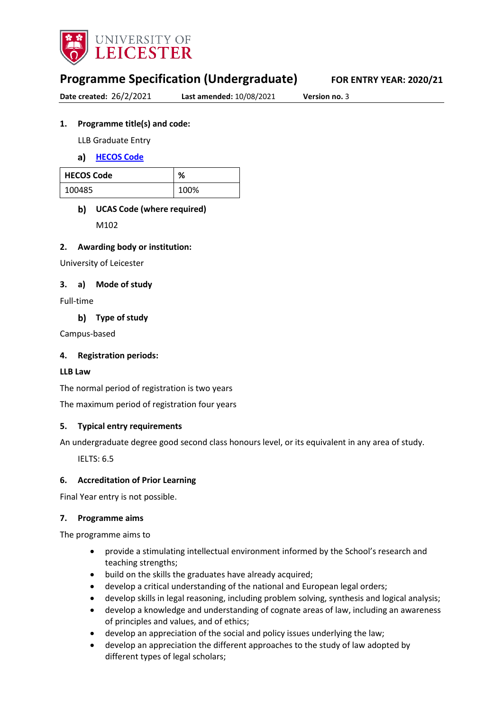

# **Programme Specification (Undergraduate) FOR ENTRY YEAR: 2020/21**

**Date created:** 26/2/2021 **Last amended:** 10/08/2021 **Version no.** 3

## **1. Programme title(s) and code:**

LLB Graduate Entry

**[HECOS Code](https://www.hesa.ac.uk/innovation/hecos)**

| <b>HECOS Code</b> | ℅    |
|-------------------|------|
| 100485            | 100% |

# **UCAS Code (where required)**

M102

## **2. Awarding body or institution:**

University of Leicester

## **3. a) Mode of study**

Full-time

**Type of study**

Campus-based

### **4. Registration periods:**

#### **LLB Law**

The normal period of registration is two years

The maximum period of registration four years

## **5. Typical entry requirements**

An undergraduate degree good second class honours level, or its equivalent in any area of study.

IELTS: 6.5

## **6. Accreditation of Prior Learning**

Final Year entry is not possible.

#### **7. Programme aims**

The programme aims to

- provide a stimulating intellectual environment informed by the School's research and teaching strengths;
- build on the skills the graduates have already acquired;
- develop a critical understanding of the national and European legal orders;
- develop skills in legal reasoning, including problem solving, synthesis and logical analysis;
- develop a knowledge and understanding of cognate areas of law, including an awareness of principles and values, and of ethics;
- develop an appreciation of the social and policy issues underlying the law;
- develop an appreciation the different approaches to the study of law adopted by different types of legal scholars;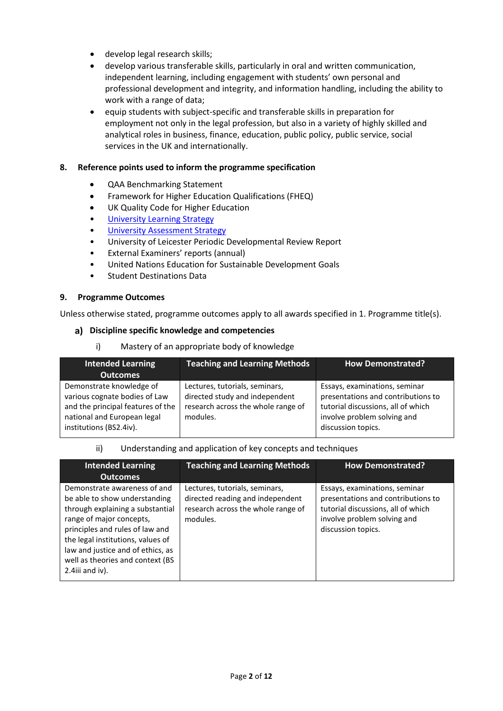- develop legal research skills;
- develop various transferable skills, particularly in oral and written communication, independent learning, including engagement with students' own personal and professional development and integrity, and information handling, including the ability to work with a range of data;
- equip students with subject-specific and transferable skills in preparation for employment not only in the legal profession, but also in a variety of highly skilled and analytical roles in business, finance, education, public policy, public service, social services in the UK and internationally.

#### **8. Reference points used to inform the programme specification**

- QAA Benchmarking Statement
- Framework for Higher Education Qualifications (FHEQ)
- UK Quality Code for Higher Education
- University Learning [Strategy](https://www2.le.ac.uk/offices/sas2/quality/learnteach)
- **[University Assessment Strategy](https://www2.le.ac.uk/offices/sas2/quality/learnteach)**
- University of Leicester Periodic Developmental Review Report
- External Examiners' reports (annual)
- United Nations Education for Sustainable Development Goals
- Student Destinations Data

#### **9. Programme Outcomes**

Unless otherwise stated, programme outcomes apply to all awards specified in 1. Programme title(s).

#### **Discipline specific knowledge and competencies**

i) Mastery of an appropriate body of knowledge

| <b>Intended Learning</b><br><b>Outcomes</b>                                                                                                              | <b>Teaching and Learning Methods</b>                                                                               | <b>How Demonstrated?</b>                                                                                                                                       |
|----------------------------------------------------------------------------------------------------------------------------------------------------------|--------------------------------------------------------------------------------------------------------------------|----------------------------------------------------------------------------------------------------------------------------------------------------------------|
| Demonstrate knowledge of<br>various cognate bodies of Law<br>and the principal features of the<br>national and European legal<br>institutions (BS2.4iv). | Lectures, tutorials, seminars,<br>directed study and independent<br>research across the whole range of<br>modules. | Essays, examinations, seminar<br>presentations and contributions to<br>tutorial discussions, all of which<br>involve problem solving and<br>discussion topics. |

#### ii) Understanding and application of key concepts and techniques

| <b>Intended Learning</b>                                                                                                                                                                                                                                                                             | <b>Teaching and Learning Methods</b>                                                                                 | <b>How Demonstrated?</b>                                                                                                                                       |
|------------------------------------------------------------------------------------------------------------------------------------------------------------------------------------------------------------------------------------------------------------------------------------------------------|----------------------------------------------------------------------------------------------------------------------|----------------------------------------------------------------------------------------------------------------------------------------------------------------|
| <b>Outcomes</b>                                                                                                                                                                                                                                                                                      |                                                                                                                      |                                                                                                                                                                |
| Demonstrate awareness of and<br>be able to show understanding<br>through explaining a substantial<br>range of major concepts,<br>principles and rules of law and<br>the legal institutions, values of<br>law and justice and of ethics, as<br>well as theories and context (BS<br>$2.4$ iii and iv). | Lectures, tutorials, seminars,<br>directed reading and independent<br>research across the whole range of<br>modules. | Essays, examinations, seminar<br>presentations and contributions to<br>tutorial discussions, all of which<br>involve problem solving and<br>discussion topics. |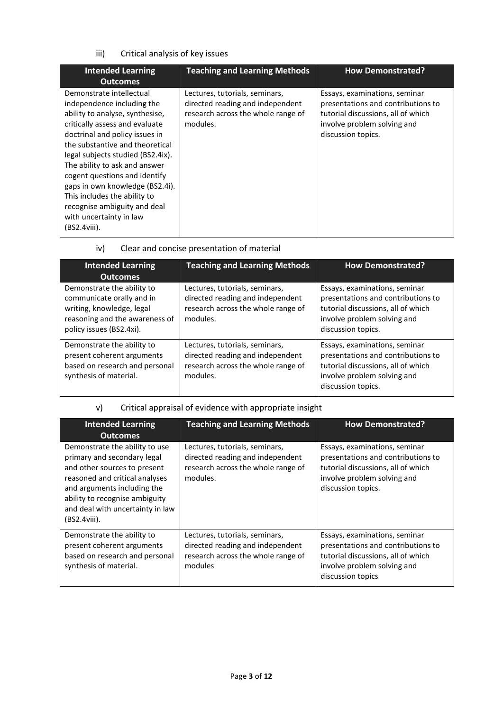## iii) Critical analysis of key issues

| <b>Intended Learning</b><br><b>Outcomes</b>                                                                                                                                                                                                                                                                                                                                                                                                           | <b>Teaching and Learning Methods</b>                                                                                 | <b>How Demonstrated?</b>                                                                                                                                       |
|-------------------------------------------------------------------------------------------------------------------------------------------------------------------------------------------------------------------------------------------------------------------------------------------------------------------------------------------------------------------------------------------------------------------------------------------------------|----------------------------------------------------------------------------------------------------------------------|----------------------------------------------------------------------------------------------------------------------------------------------------------------|
| Demonstrate intellectual<br>independence including the<br>ability to analyse, synthesise,<br>critically assess and evaluate<br>doctrinal and policy issues in<br>the substantive and theoretical<br>legal subjects studied (BS2.4ix).<br>The ability to ask and answer<br>cogent questions and identify<br>gaps in own knowledge (BS2.4i).<br>This includes the ability to<br>recognise ambiguity and deal<br>with uncertainty in law<br>(BS2.4viii). | Lectures, tutorials, seminars,<br>directed reading and independent<br>research across the whole range of<br>modules. | Essays, examinations, seminar<br>presentations and contributions to<br>tutorial discussions, all of which<br>involve problem solving and<br>discussion topics. |

iv) Clear and concise presentation of material

| <b>Intended Learning</b><br><b>Outcomes</b>                                                                                                        | <b>Teaching and Learning Methods</b>                                                                                 | <b>How Demonstrated?</b>                                                                                                                                       |
|----------------------------------------------------------------------------------------------------------------------------------------------------|----------------------------------------------------------------------------------------------------------------------|----------------------------------------------------------------------------------------------------------------------------------------------------------------|
| Demonstrate the ability to<br>communicate orally and in<br>writing, knowledge, legal<br>reasoning and the awareness of<br>policy issues (BS2.4xi). | Lectures, tutorials, seminars,<br>directed reading and independent<br>research across the whole range of<br>modules. | Essays, examinations, seminar<br>presentations and contributions to<br>tutorial discussions, all of which<br>involve problem solving and<br>discussion topics. |
| Demonstrate the ability to<br>present coherent arguments<br>based on research and personal<br>synthesis of material.                               | Lectures, tutorials, seminars,<br>directed reading and independent<br>research across the whole range of<br>modules. | Essays, examinations, seminar<br>presentations and contributions to<br>tutorial discussions, all of which<br>involve problem solving and<br>discussion topics. |

# v) Critical appraisal of evidence with appropriate insight

| <b>Intended Learning</b><br><b>Outcomes</b>                                                                                                                                                                                                             | <b>Teaching and Learning Methods</b>                                                                                 | <b>How Demonstrated?</b>                                                                                                                                       |
|---------------------------------------------------------------------------------------------------------------------------------------------------------------------------------------------------------------------------------------------------------|----------------------------------------------------------------------------------------------------------------------|----------------------------------------------------------------------------------------------------------------------------------------------------------------|
| Demonstrate the ability to use<br>primary and secondary legal<br>and other sources to present<br>reasoned and critical analyses<br>and arguments including the<br>ability to recognise ambiguity<br>and deal with uncertainty in law<br>$(BS2.4viii)$ . | Lectures, tutorials, seminars,<br>directed reading and independent<br>research across the whole range of<br>modules. | Essays, examinations, seminar<br>presentations and contributions to<br>tutorial discussions, all of which<br>involve problem solving and<br>discussion topics. |
| Demonstrate the ability to<br>present coherent arguments<br>based on research and personal<br>synthesis of material.                                                                                                                                    | Lectures, tutorials, seminars,<br>directed reading and independent<br>research across the whole range of<br>modules  | Essays, examinations, seminar<br>presentations and contributions to<br>tutorial discussions, all of which<br>involve problem solving and<br>discussion topics  |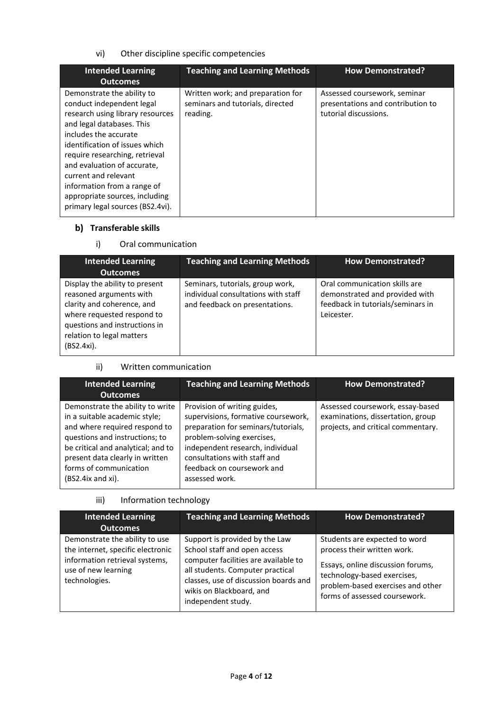vi) Other discipline specific competencies

| <b>Intended Learning</b><br><b>Outcomes</b>                                                                                                                                                                                                                                                                                                                                       | <b>Teaching and Learning Methods</b>                                              | <b>How Demonstrated?</b>                                                                   |
|-----------------------------------------------------------------------------------------------------------------------------------------------------------------------------------------------------------------------------------------------------------------------------------------------------------------------------------------------------------------------------------|-----------------------------------------------------------------------------------|--------------------------------------------------------------------------------------------|
| Demonstrate the ability to<br>conduct independent legal<br>research using library resources<br>and legal databases. This<br>includes the accurate<br>identification of issues which<br>require researching, retrieval<br>and evaluation of accurate,<br>current and relevant<br>information from a range of<br>appropriate sources, including<br>primary legal sources (BS2.4vi). | Written work; and preparation for<br>seminars and tutorials, directed<br>reading. | Assessed coursework, seminar<br>presentations and contribution to<br>tutorial discussions. |

# **Transferable skills**

## i) Oral communication

| <b>Intended Learning</b>                                                                                                                                                                          | <b>Teaching and Learning Methods</b>                                                                      | <b>How Demonstrated?</b>                                                                                           |
|---------------------------------------------------------------------------------------------------------------------------------------------------------------------------------------------------|-----------------------------------------------------------------------------------------------------------|--------------------------------------------------------------------------------------------------------------------|
| <b>Outcomes</b>                                                                                                                                                                                   |                                                                                                           |                                                                                                                    |
| Display the ability to present<br>reasoned arguments with<br>clarity and coherence, and<br>where requested respond to<br>questions and instructions in<br>relation to legal matters<br>(BS2.4xi). | Seminars, tutorials, group work,<br>individual consultations with staff<br>and feedback on presentations. | Oral communication skills are<br>demonstrated and provided with<br>feedback in tutorials/seminars in<br>Leicester. |

ii) Written communication

| <b>Intended Learning</b><br><b>Outcomes</b>                                                                                                                                                                                                                       | <b>Teaching and Learning Methods</b>                                                                                                                                                                                                                         | <b>How Demonstrated?</b>                                                                                    |
|-------------------------------------------------------------------------------------------------------------------------------------------------------------------------------------------------------------------------------------------------------------------|--------------------------------------------------------------------------------------------------------------------------------------------------------------------------------------------------------------------------------------------------------------|-------------------------------------------------------------------------------------------------------------|
| Demonstrate the ability to write<br>in a suitable academic style;<br>and where required respond to<br>questions and instructions; to<br>be critical and analytical; and to<br>present data clearly in written<br>forms of communication<br>$(BS2.4ix$ and $xi)$ . | Provision of writing guides,<br>supervisions, formative coursework,<br>preparation for seminars/tutorials,<br>problem-solving exercises,<br>independent research, individual<br>consultations with staff and<br>feedback on coursework and<br>assessed work. | Assessed coursework, essay-based<br>examinations, dissertation, group<br>projects, and critical commentary. |

# iii) Information technology

| <b>Intended Learning</b><br><b>Outcomes</b>                                                                                                   | <b>Teaching and Learning Methods</b>                                                                                                                                                                                                  | <b>How Demonstrated?</b>                                                                                                                                                                               |
|-----------------------------------------------------------------------------------------------------------------------------------------------|---------------------------------------------------------------------------------------------------------------------------------------------------------------------------------------------------------------------------------------|--------------------------------------------------------------------------------------------------------------------------------------------------------------------------------------------------------|
| Demonstrate the ability to use<br>the internet, specific electronic<br>information retrieval systems,<br>use of new learning<br>technologies. | Support is provided by the Law<br>School staff and open access<br>computer facilities are available to<br>all students. Computer practical<br>classes, use of discussion boards and<br>wikis on Blackboard, and<br>independent study. | Students are expected to word<br>process their written work.<br>Essays, online discussion forums,<br>technology-based exercises,<br>problem-based exercises and other<br>forms of assessed coursework. |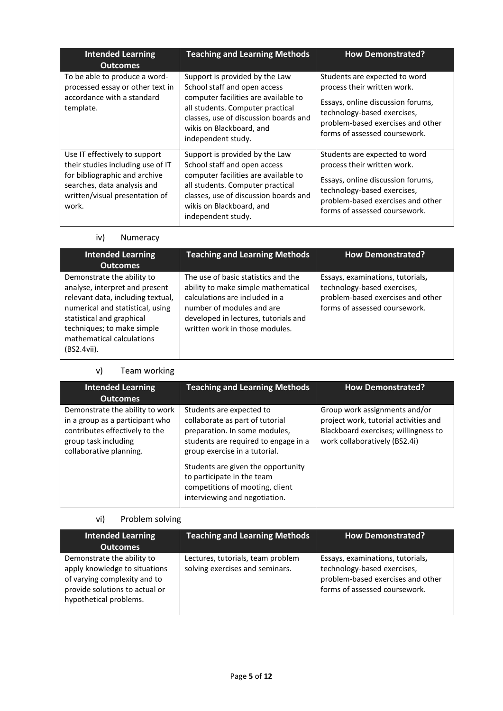| <b>Intended Learning</b><br><b>Outcomes</b>                                                                                                                                   | <b>Teaching and Learning Methods</b>                                                                                                                                                                                                  | <b>How Demonstrated?</b>                                                                                                                                                                               |
|-------------------------------------------------------------------------------------------------------------------------------------------------------------------------------|---------------------------------------------------------------------------------------------------------------------------------------------------------------------------------------------------------------------------------------|--------------------------------------------------------------------------------------------------------------------------------------------------------------------------------------------------------|
| To be able to produce a word-<br>processed essay or other text in<br>accordance with a standard<br>template.                                                                  | Support is provided by the Law<br>School staff and open access<br>computer facilities are available to<br>all students. Computer practical<br>classes, use of discussion boards and<br>wikis on Blackboard, and<br>independent study. | Students are expected to word<br>process their written work.<br>Essays, online discussion forums,<br>technology-based exercises,<br>problem-based exercises and other<br>forms of assessed coursework. |
| Use IT effectively to support<br>their studies including use of IT<br>for bibliographic and archive<br>searches, data analysis and<br>written/visual presentation of<br>work. | Support is provided by the Law<br>School staff and open access<br>computer facilities are available to<br>all students. Computer practical<br>classes, use of discussion boards and<br>wikis on Blackboard, and<br>independent study. | Students are expected to word<br>process their written work.<br>Essays, online discussion forums,<br>technology-based exercises,<br>problem-based exercises and other<br>forms of assessed coursework. |

# iv) Numeracy

| <b>Intended Learning</b><br><b>Outcomes</b>                                                                                                                                                                                                  | <b>Teaching and Learning Methods</b>                                                                                                                                                                                | <b>How Demonstrated?</b>                                                                                                              |
|----------------------------------------------------------------------------------------------------------------------------------------------------------------------------------------------------------------------------------------------|---------------------------------------------------------------------------------------------------------------------------------------------------------------------------------------------------------------------|---------------------------------------------------------------------------------------------------------------------------------------|
| Demonstrate the ability to<br>analyse, interpret and present<br>relevant data, including textual,<br>numerical and statistical, using<br>statistical and graphical<br>techniques; to make simple<br>mathematical calculations<br>(BS2.4vii). | The use of basic statistics and the<br>ability to make simple mathematical<br>calculations are included in a<br>number of modules and are<br>developed in lectures, tutorials and<br>written work in those modules. | Essays, examinations, tutorials,<br>technology-based exercises,<br>problem-based exercises and other<br>forms of assessed coursework. |

# v) Team working

| <b>Intended Learning</b><br><b>Outcomes</b>                                                                                                             | <b>Teaching and Learning Methods</b>                                                                                                                                                                                                                                                                          | <b>How Demonstrated?</b>                                                                                                                        |
|---------------------------------------------------------------------------------------------------------------------------------------------------------|---------------------------------------------------------------------------------------------------------------------------------------------------------------------------------------------------------------------------------------------------------------------------------------------------------------|-------------------------------------------------------------------------------------------------------------------------------------------------|
| Demonstrate the ability to work<br>in a group as a participant who<br>contributes effectively to the<br>group task including<br>collaborative planning. | Students are expected to<br>collaborate as part of tutorial<br>preparation. In some modules,<br>students are required to engage in a<br>group exercise in a tutorial.<br>Students are given the opportunity<br>to participate in the team<br>competitions of mooting, client<br>interviewing and negotiation. | Group work assignments and/or<br>project work, tutorial activities and<br>Blackboard exercises; willingness to<br>work collaboratively (BS2.4i) |

# vi) Problem solving

| <b>Intended Learning</b><br><b>Outcomes</b>                                                                                                             | <b>Teaching and Learning Methods</b>                                 | <b>How Demonstrated?</b>                                                                                                              |
|---------------------------------------------------------------------------------------------------------------------------------------------------------|----------------------------------------------------------------------|---------------------------------------------------------------------------------------------------------------------------------------|
| Demonstrate the ability to<br>apply knowledge to situations<br>of varying complexity and to<br>provide solutions to actual or<br>hypothetical problems. | Lectures, tutorials, team problem<br>solving exercises and seminars. | Essays, examinations, tutorials,<br>technology-based exercises,<br>problem-based exercises and other<br>forms of assessed coursework. |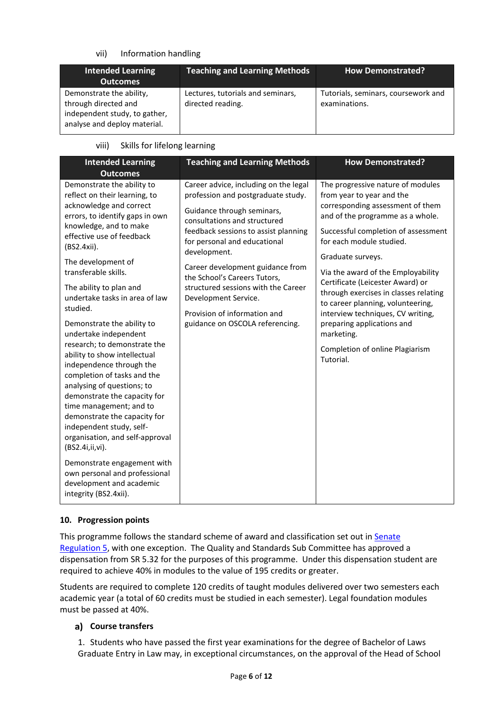### vii) Information handling

| <b>Intended Learning</b><br><b>Outcomes</b>                                                                       | <b>Teaching and Learning Methods</b>                   | <b>How Demonstrated?</b>                             |
|-------------------------------------------------------------------------------------------------------------------|--------------------------------------------------------|------------------------------------------------------|
| Demonstrate the ability,<br>through directed and<br>independent study, to gather,<br>analyse and deploy material. | Lectures, tutorials and seminars,<br>directed reading. | Tutorials, seminars, coursework and<br>examinations. |

#### viii) Skills for lifelong learning

| <b>Intended Learning</b><br><b>Outcomes</b>                                                                                                                                                                                                                                                                                                                                                                                                                                                                                                                                                                                                                                                                                                                                                                                              | <b>Teaching and Learning Methods</b>                                                                                                                                                                                                                                                                                                                                                                                                    | <b>How Demonstrated?</b>                                                                                                                                                                                                                                                                                                                                                                                                                                                                                                |
|------------------------------------------------------------------------------------------------------------------------------------------------------------------------------------------------------------------------------------------------------------------------------------------------------------------------------------------------------------------------------------------------------------------------------------------------------------------------------------------------------------------------------------------------------------------------------------------------------------------------------------------------------------------------------------------------------------------------------------------------------------------------------------------------------------------------------------------|-----------------------------------------------------------------------------------------------------------------------------------------------------------------------------------------------------------------------------------------------------------------------------------------------------------------------------------------------------------------------------------------------------------------------------------------|-------------------------------------------------------------------------------------------------------------------------------------------------------------------------------------------------------------------------------------------------------------------------------------------------------------------------------------------------------------------------------------------------------------------------------------------------------------------------------------------------------------------------|
| Demonstrate the ability to<br>reflect on their learning, to<br>acknowledge and correct<br>errors, to identify gaps in own<br>knowledge, and to make<br>effective use of feedback<br>(BS2.4xii).<br>The development of<br>transferable skills.<br>The ability to plan and<br>undertake tasks in area of law<br>studied.<br>Demonstrate the ability to<br>undertake independent<br>research; to demonstrate the<br>ability to show intellectual<br>independence through the<br>completion of tasks and the<br>analysing of questions; to<br>demonstrate the capacity for<br>time management; and to<br>demonstrate the capacity for<br>independent study, self-<br>organisation, and self-approval<br>(BS2.4i,ii,vi).<br>Demonstrate engagement with<br>own personal and professional<br>development and academic<br>integrity (BS2.4xii). | Career advice, including on the legal<br>profession and postgraduate study.<br>Guidance through seminars,<br>consultations and structured<br>feedback sessions to assist planning<br>for personal and educational<br>development.<br>Career development guidance from<br>the School's Careers Tutors,<br>structured sessions with the Career<br>Development Service.<br>Provision of information and<br>guidance on OSCOLA referencing. | The progressive nature of modules<br>from year to year and the<br>corresponding assessment of them<br>and of the programme as a whole.<br>Successful completion of assessment<br>for each module studied.<br>Graduate surveys.<br>Via the award of the Employability<br>Certificate (Leicester Award) or<br>through exercises in classes relating<br>to career planning, volunteering,<br>interview techniques, CV writing,<br>preparing applications and<br>marketing.<br>Completion of online Plagiarism<br>Tutorial. |

#### **10. Progression points**

This programme follows the standard scheme of award and classification set out in Senate [Regulation 5,](https://eur03.safelinks.protection.outlook.com/?url=http%3A%2F%2Fwww2.le.ac.uk%2Foffices%2Fsas2%2Fregulations%2Fdocuments%2Fsenatereg5-undergraduates.pdf&data=02%7C01%7Ckm347%40leicester.ac.uk%7Cc35d8264a032488d8b8d08d735e46b95%7Caebecd6a31d44b0195ce8274afe853d9%7C0%7C0%7C637037127476896773&sdata=Scg%2FwW6wnsgfdwg1oJxylOVpJWmuW2u5GzVd4EGguPM%3D&reserved=0) with one exception. The Quality and Standards Sub Committee has approved a dispensation from SR 5.32 for the purposes of this programme. Under this dispensation student are required to achieve 40% in modules to the value of 195 credits or greater.

Students are required to complete 120 credits of taught modules delivered over two semesters each academic year (a total of 60 credits must be studied in each semester). Legal foundation modules must be passed at 40%.

## **Course transfers**

1. Students who have passed the first year examinations for the degree of Bachelor of Laws Graduate Entry in Law may, in exceptional circumstances, on the approval of the Head of School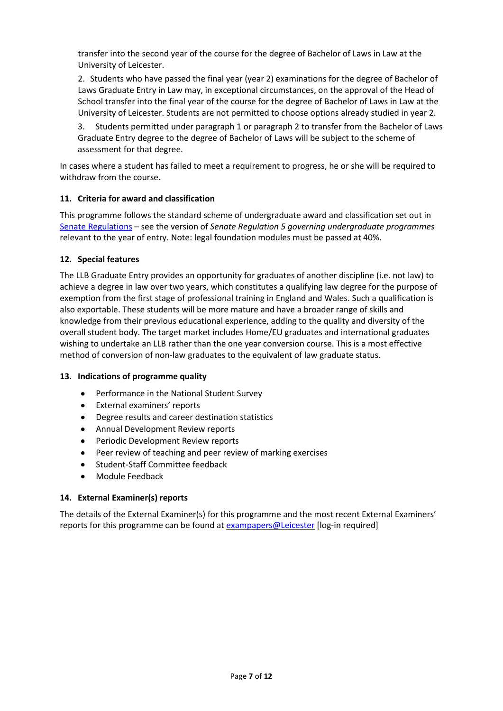transfer into the second year of the course for the degree of Bachelor of Laws in Law at the University of Leicester.

2. Students who have passed the final year (year 2) examinations for the degree of Bachelor of Laws Graduate Entry in Law may, in exceptional circumstances, on the approval of the Head of School transfer into the final year of the course for the degree of Bachelor of Laws in Law at the University of Leicester. Students are not permitted to choose options already studied in year 2.

3. Students permitted under paragraph 1 or paragraph 2 to transfer from the Bachelor of Laws Graduate Entry degree to the degree of Bachelor of Laws will be subject to the scheme of assessment for that degree.

In cases where a student has failed to meet a requirement to progress, he or she will be required to withdraw from the course.

## **11. Criteria for award and classification**

This programme follows the standard scheme of undergraduate award and classification set out in [Senate Regulations](http://www.le.ac.uk/senate-regulations) – see the version of *Senate Regulation 5 governing undergraduate programmes* relevant to the year of entry. Note: legal foundation modules must be passed at 40%.

#### **12. Special features**

The LLB Graduate Entry provides an opportunity for graduates of another discipline (i.e. not law) to achieve a degree in law over two years, which constitutes a qualifying law degree for the purpose of exemption from the first stage of professional training in England and Wales. Such a qualification is also exportable. These students will be more mature and have a broader range of skills and knowledge from their previous educational experience, adding to the quality and diversity of the overall student body. The target market includes Home/EU graduates and international graduates wishing to undertake an LLB rather than the one year conversion course. This is a most effective method of conversion of non-law graduates to the equivalent of law graduate status.

#### **13. Indications of programme quality**

- Performance in the National Student Survey
- External examiners' reports
- Degree results and career destination statistics
- Annual Development Review reports
- Periodic Development Review reports
- Peer review of teaching and peer review of marking exercises
- Student-Staff Committee feedback
- Module Feedback

## **14. External Examiner(s) reports**

The details of the External Examiner(s) for this programme and the most recent External Examiners' reports for this programme can be found at [exampapers@Leicester](https://exampapers.le.ac.uk/) [log-in required]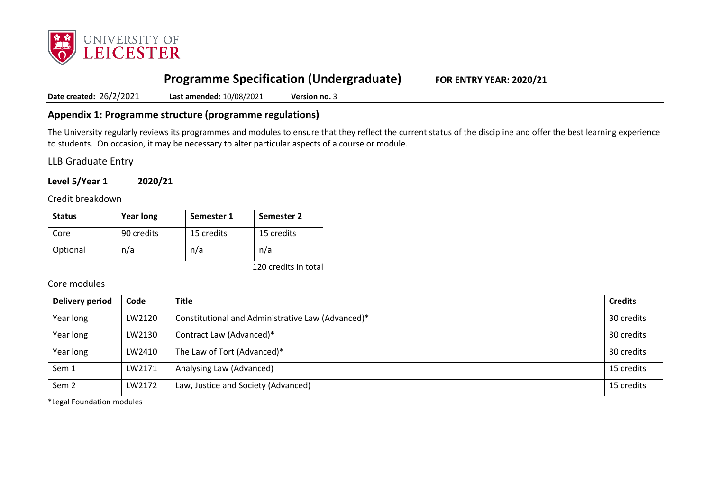

# **Programme Specification (Undergraduate) FOR ENTRY YEAR: 2020/21**

**Date created:** 26/2/2021 **Last amended:** 10/08/2021 **Version no.** 3

# **Appendix 1: Programme structure (programme regulations)**

The University regularly reviews its programmes and modules to ensure that they reflect the current status of the discipline and offer the best learning experience to students. On occasion, it may be necessary to alter particular aspects of a course or module.

LLB Graduate Entry

**Level 5/Year 1 2020/21**

Credit breakdown

| <b>Status</b> | <b>Year long</b> | Semester 1 | Semester 2 |
|---------------|------------------|------------|------------|
| Core          | 90 credits       | 15 credits | 15 credits |
| Optional      | n/a              | n/a        | n/a        |

120 credits in total

### Core modules

| Delivery period  | Code   | <b>Title</b>                                      | <b>Credits</b> |
|------------------|--------|---------------------------------------------------|----------------|
| Year long        | LW2120 | Constitutional and Administrative Law (Advanced)* | 30 credits     |
| Year long        | LW2130 | Contract Law (Advanced)*                          | 30 credits     |
| Year long        | LW2410 | The Law of Tort (Advanced)*                       | 30 credits     |
| Sem 1            | LW2171 | Analysing Law (Advanced)                          | 15 credits     |
| Sem <sub>2</sub> | LW2172 | Law, Justice and Society (Advanced)               | 15 credits     |

\*Legal Foundation modules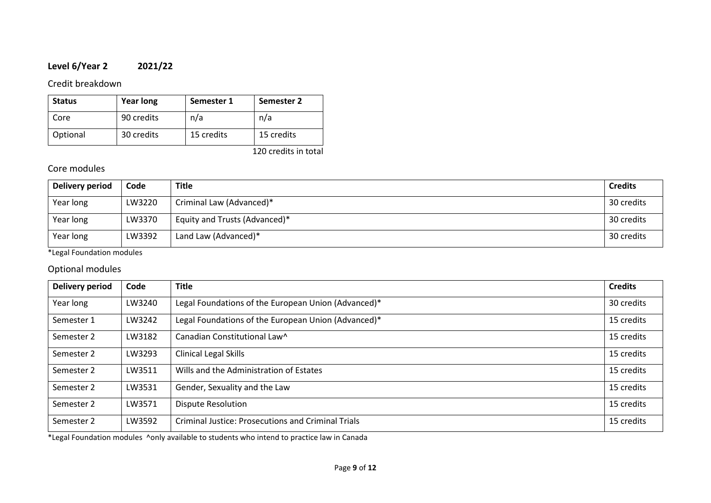# **Level 6/Year 2 2021/22**

# Credit breakdown

| <b>Status</b> | <b>Year long</b> | Semester 1 | Semester 2 |
|---------------|------------------|------------|------------|
| Core          | 90 credits       | n/a        | n/a        |
| Optional      | 30 credits       | 15 credits | 15 credits |

120 credits in total

# Core modules

| Delivery period | Code   | <b>Title</b>                  | <b>Credits</b> |
|-----------------|--------|-------------------------------|----------------|
| Year long       | LW3220 | Criminal Law (Advanced)*      | 30 credits     |
| Year long       | LW3370 | Equity and Trusts (Advanced)* | 30 credits     |
| Year long       | LW3392 | Land Law (Advanced)*          | 30 credits     |

\*Legal Foundation modules

# Optional modules

| <b>Delivery period</b> | Code   | <b>Title</b>                                              | <b>Credits</b> |
|------------------------|--------|-----------------------------------------------------------|----------------|
| Year long              | LW3240 | Legal Foundations of the European Union (Advanced)*       | 30 credits     |
| Semester 1             | LW3242 | Legal Foundations of the European Union (Advanced)*       | 15 credits     |
| Semester 2             | LW3182 | Canadian Constitutional Law^                              | 15 credits     |
| Semester 2             | LW3293 | Clinical Legal Skills                                     | 15 credits     |
| Semester 2             | LW3511 | Wills and the Administration of Estates                   | 15 credits     |
| Semester 2             | LW3531 | Gender, Sexuality and the Law                             | 15 credits     |
| Semester 2             | LW3571 | <b>Dispute Resolution</b>                                 | 15 credits     |
| Semester 2             | LW3592 | <b>Criminal Justice: Prosecutions and Criminal Trials</b> | 15 credits     |

\*Legal Foundation modules ^only available to students who intend to practice law in Canada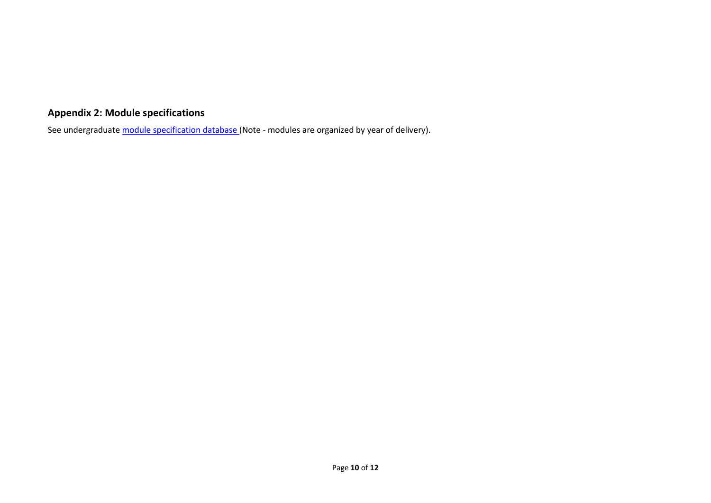# **Appendix 2: Module specifications**

See undergraduat[e module specification database](http://www.le.ac.uk/sas/courses/documentation) (Note - modules are organized by year of delivery).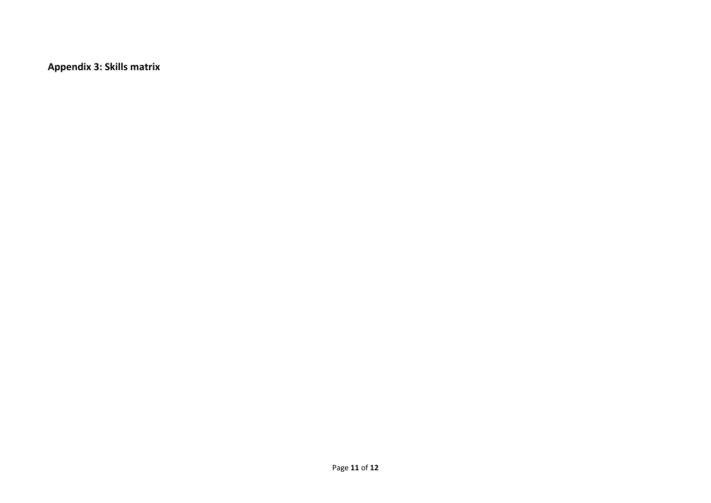**Appendix 3: Skills matrix**